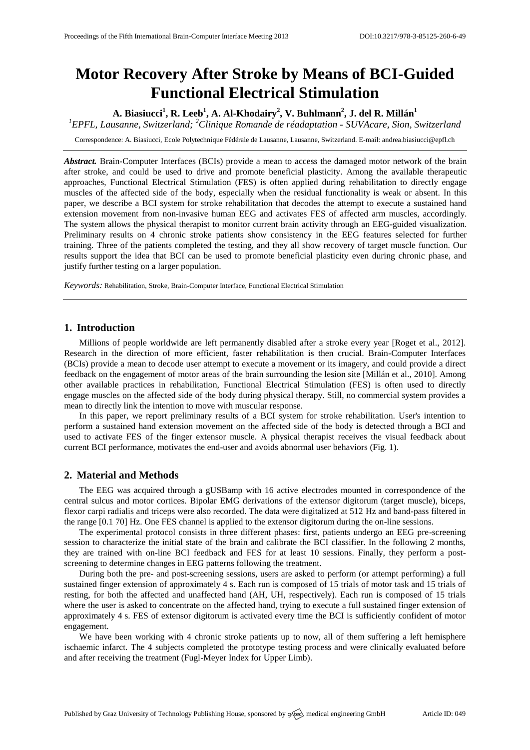# **Motor Recovery After Stroke by Means of BCI-Guided Functional Electrical Stimulation**

**A. Biasiucci<sup>1</sup> , R. Leeb<sup>1</sup> , A. Al-Khodairy<sup>2</sup> , V. Buhlmann<sup>2</sup> , J. del R. Millán<sup>1</sup>**

*<sup>1</sup>EPFL, Lausanne, Switzerland; <sup>2</sup>Clinique Romande de réadaptation - SUVAcare, Sion, Switzerland*

Correspondence: A. Biasiucci, Ecole Polytechnique Fédérale de Lausanne, Lausanne, Switzerland. E-mail: [andrea.biasiucci@epfl.ch](mailto:correspance.author@e-mailaddress.com)

*Abstract.* Brain-Computer Interfaces (BCIs) provide a mean to access the damaged motor network of the brain after stroke, and could be used to drive and promote beneficial plasticity. Among the available therapeutic approaches, Functional Electrical Stimulation (FES) is often applied during rehabilitation to directly engage muscles of the affected side of the body, especially when the residual functionality is weak or absent. In this paper, we describe a BCI system for stroke rehabilitation that decodes the attempt to execute a sustained hand extension movement from non-invasive human EEG and activates FES of affected arm muscles, accordingly. The system allows the physical therapist to monitor current brain activity through an EEG-guided visualization. Preliminary results on 4 chronic stroke patients show consistency in the EEG features selected for further training. Three of the patients completed the testing, and they all show recovery of target muscle function. Our results support the idea that BCI can be used to promote beneficial plasticity even during chronic phase, and justify further testing on a larger population.

*Keywords:* Rehabilitation, Stroke, Brain-Computer Interface, Functional Electrical Stimulation

## **1. Introduction**

Millions of people worldwide are left permanently disabled after a stroke every year [Roget et al., 2012]. Research in the direction of more efficient, faster rehabilitation is then crucial. Brain-Computer Interfaces (BCIs) provide a mean to decode user attempt to execute a movement or its imagery, and could provide a direct feedback on the engagement of motor areas of the brain surrounding the lesion site [Millán et al., 2010]. Among other available practices in rehabilitation, Functional Electrical Stimulation (FES) is often used to directly engage muscles on the affected side of the body during physical therapy. Still, no commercial system provides a mean to directly link the intention to move with muscular response.

In this paper, we report preliminary results of a BCI system for stroke rehabilitation. User's intention to perform a sustained hand extension movement on the affected side of the body is detected through a BCI and used to activate FES of the finger extensor muscle. A physical therapist receives the visual feedback about current BCI performance, motivates the end-user and avoids abnormal user behaviors (Fig. 1).

### **2. Material and Methods**

The EEG was acquired through a gUSBamp with 16 active electrodes mounted in correspondence of the central sulcus and motor cortices. Bipolar EMG derivations of the extensor digitorum (target muscle), biceps, flexor carpi radialis and triceps were also recorded. The data were digitalized at 512 Hz and band-pass filtered in the range [0.1 70] Hz. One FES channel is applied to the extensor digitorum during the on-line sessions.

The experimental protocol consists in three different phases: first, patients undergo an EEG pre-screening session to characterize the initial state of the brain and calibrate the BCI classifier. In the following 2 months, they are trained with on-line BCI feedback and FES for at least 10 sessions. Finally, they perform a postscreening to determine changes in EEG patterns following the treatment.

During both the pre- and post-screening sessions, users are asked to perform (or attempt performing) a full sustained finger extension of approximately 4 s. Each run is composed of 15 trials of motor task and 15 trials of resting, for both the affected and unaffected hand (AH, UH, respectively). Each run is composed of 15 trials where the user is asked to concentrate on the affected hand, trying to execute a full sustained finger extension of approximately 4 s. FES of extensor digitorum is activated every time the BCI is sufficiently confident of motor engagement.

We have been working with 4 chronic stroke patients up to now, all of them suffering a left hemisphere ischaemic infarct. The 4 subjects completed the prototype testing process and were clinically evaluated before and after receiving the treatment (Fugl-Meyer Index for Upper Limb).